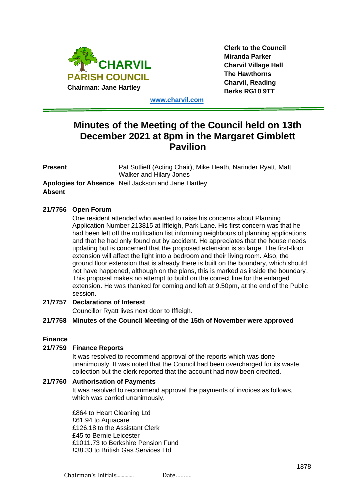

**Clerk to the Council Miranda Parker Charvil Village Hall The Hawthorns Charvil, Reading Berks RG10 9TT**

**[www.charvil.com](http://www.charvil.com/)**

# **Minutes of the Meeting of the Council held on 13th December 2021 at 8pm in the Margaret Gimblett Pavilion**

| Present | Pat Sutlieff (Acting Chair), Mike Heath, Narinder Ryatt, Matt<br>Walker and Hilary Jones |
|---------|------------------------------------------------------------------------------------------|
| Absent  | <b>Apologies for Absence</b> Neil Jackson and Jane Hartley                               |

# **21/7756 Open Forum**

One resident attended who wanted to raise his concerns about Planning Application Number 213815 at Iffleigh, Park Lane. His first concern was that he had been left off the notification list informing neighbours of planning applications and that he had only found out by accident. He appreciates that the house needs updating but is concerned that the proposed extension is so large. The first-floor extension will affect the light into a bedroom and their living room. Also, the ground floor extension that is already there is built on the boundary, which should not have happened, although on the plans, this is marked as inside the boundary. This proposal makes no attempt to build on the correct line for the enlarged extension. He was thanked for coming and left at 9.50pm, at the end of the Public session.

# **21/7757 Declarations of Interest**

Councillor Ryatt lives next door to Iffleigh.

# **21/7758 Minutes of the Council Meeting of the 15th of November were approved**

### **Finance**

### **21/7759 Finance Reports**

It was resolved to recommend approval of the reports which was done unanimously. It was noted that the Council had been overcharged for its waste collection but the clerk reported that the account had now been credited.

# **21/7760 Authorisation of Payments**

It was resolved to recommend approval the payments of invoices as follows, which was carried unanimously.

£864 to Heart Cleaning Ltd £61.94 to Aquacare £126.18 to the Assistant Clerk £45 to Bernie Leicester £1011.73 to Berkshire Pension Fund £38.33 to British Gas Services Ltd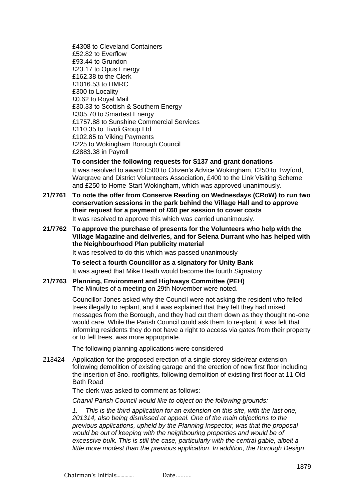£4308 to Cleveland Containers £52.82 to Everflow £93.44 to Grundon £23.17 to Opus Energy £162.38 to the Clerk £1016.53 to HMRC £300 to Locality £0.62 to Royal Mail £30.33 to Scottish & Southern Energy £305.70 to Smartest Energy £1757.88 to Sunshine Commercial Services £110.35 to Tivoli Group Ltd £102.85 to Viking Payments £225 to Wokingham Borough Council £2883.38 in Payroll

## **To consider the following requests for S137 and grant donations**

It was resolved to award £500 to Citizen's Advice Wokingham, £250 to Twyford, Wargrave and District Volunteers Association, £400 to the Link Visiting Scheme and £250 to Home-Start Wokingham, which was approved unanimously.

- **21/7761 To note the offer from Conserve Reading on Wednesdays (CRoW) to run two conservation sessions in the park behind the Village Hall and to approve their request for a payment of £60 per session to cover costs**  It was resolved to approve this which was carried unanimously.
- **21/7762 To approve the purchase of presents for the Volunteers who help with the Village Magazine and deliveries, and for Selena Durrant who has helped with the Neighbourhood Plan publicity material**

It was resolved to do this which was passed unanimously

**To select a fourth Councillor as a signatory for Unity Bank** It was agreed that Mike Heath would become the fourth Signatory

**21/7763 Planning, Environment and Highways Committee (PEH)** The Minutes of a meeting on 29th November were noted.

> Councillor Jones asked why the Council were not asking the resident who felled trees illegally to replant, and it was explained that they felt they had mixed messages from the Borough, and they had cut them down as they thought no-one would care. While the Parish Council could ask them to re-plant, it was felt that informing residents they do not have a right to access via gates from their property or to fell trees, was more appropriate.

The following planning applications were considered

213424 Application for the proposed erection of a single storey side/rear extension following demolition of existing garage and the erection of new first floor including the insertion of 3no. rooflights, following demolition of existing first floor at 11 Old Bath Road

The clerk was asked to comment as follows:

*Charvil Parish Council would like to object on the following grounds:*

*1. This is the third application for an extension on this site, with the last one, 201314, also being dismissed at appeal. One of the main objections to the previous applications, upheld by the Planning Inspector, was that the proposal would be out of keeping with the neighbouring properties and would be of excessive bulk. This is still the case, particularly with the central gable, albeit a little more modest than the previous application. In addition, the Borough Design*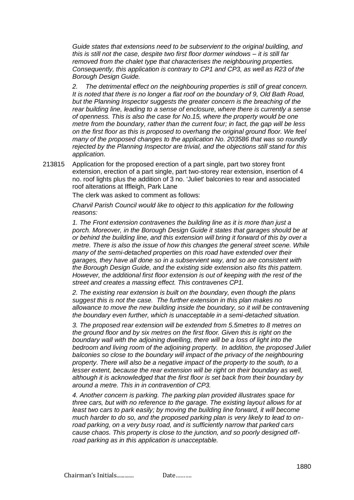*Guide states that extensions need to be subservient to the original building, and this is still not the case, despite two first floor dormer windows – it is still far removed from the chalet type that characterises the neighbouring properties. Consequently, this application is contrary to CP1 and CP3, as well as R23 of the Borough Design Guide.*

*2. The detrimental effect on the neighbouring properties is still of great concern. It is noted that there is no longer a flat roof on the boundary of 9, Old Bath Road, but the Planning Inspector suggests the greater concern is the breaching of the rear building line, leading to a sense of enclosure, where there is currently a sense of openness. This is also the case for No.15, where the property would be one metre from the boundary, rather than the current four; in fact, the gap will be less on the first floor as this is proposed to overhang the original ground floor. We feel many of the proposed changes to the application No. 203586 that was so roundly rejected by the Planning Inspector are trivial, and the objections still stand for this application.*

213815 Application for the proposed erection of a part single, part two storey front extension, erection of a part single, part two-storey rear extension, insertion of 4 no. roof lights plus the addition of 3 no. 'Juliet' balconies to rear and associated roof alterations at Iffleigh, Park Lane

The clerk was asked to comment as follows:

*Charvil Parish Council would like to object to this application for the following reasons:*

*1. The Front extension contravenes the building line as it is more than just a porch. Moreover, in the Borough Design Guide it states that garages should be at or behind the building line, and this extension will bring it forward of this by over a metre. There is also the issue of how this changes the general street scene. While many of the semi-detached properties on this road have extended over their garages, they have all done so in a subservient way, and so are consistent with the Borough Design Guide, and the existing side extension also fits this pattern. However, the additional first floor extension is out of keeping with the rest of the street and creates a massing effect. This contravenes CP1.*

*2. The existing rear extension is built on the boundary, even though the plans suggest this is not the case. The further extension in this plan makes no allowance to move the new building inside the boundary, so it will be contravening the boundary even further, which is unacceptable in a semi-detached situation.* 

*3. The proposed rear extension will be extended from 5.5metres to 8 metres on the ground floor and by six metres on the first floor. Given this is right on the boundary wall with the adjoining dwelling, there will be a loss of light into the bedroom and living room of the adjoining property. In addition, the proposed Juliet balconies so close to the boundary will impact of the privacy of the neighbouring property. There will also be a negative impact of the property to the south, to a lesser extent, because the rear extension will be right on their boundary as well. although it is acknowledged that the first floor is set back from their boundary by around a metre. This in in contravention of CP3.*

*4. Another concern is parking. The parking plan provided illustrates space for three cars, but with no reference to the garage. The existing layout allows for at least two cars to park easily; by moving the building line forward, it will become much harder to do so, and the proposed parking plan is very likely to lead to onroad parking, on a very busy road, and is sufficiently narrow that parked cars cause chaos. This property is close to the junction, and so poorly designed offroad parking as in this application is unacceptable.*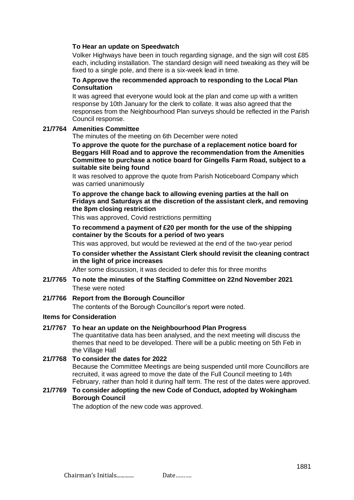## **To Hear an update on Speedwatch**

Volker Highways have been in touch regarding signage, and the sign will cost £85 each, including installation. The standard design will need tweaking as they will be fixed to a single pole, and there is a six-week lead in time.

# **To Approve the recommended approach to responding to the Local Plan Consultation**

It was agreed that everyone would look at the plan and come up with a written response by 10th January for the clerk to collate. It was also agreed that the responses from the Neighbourhood Plan surveys should be reflected in the Parish Council response.

## **21/7764 Amenities Committee**

The minutes of the meeting on 6th December were noted

**To approve the quote for the purchase of a replacement notice board for Beggars Hill Road and to approve the recommendation from the Amenities Committee to purchase a notice board for Gingells Farm Road, subject to a suitable site being found**

It was resolved to approve the quote from Parish Noticeboard Company which was carried unanimously

# **To approve the change back to allowing evening parties at the hall on Fridays and Saturdays at the discretion of the assistant clerk, and removing the 8pm closing restriction**

This was approved, Covid restrictions permitting

# **To recommend a payment of £20 per month for the use of the shipping container by the Scouts for a period of two years**

This was approved, but would be reviewed at the end of the two-year period

# **To consider whether the Assistant Clerk should revisit the cleaning contract in the light of price increases**

After some discussion, it was decided to defer this for three months

**21/7765 To note the minutes of the Staffing Committee on 22nd November 2021** These were noted

# **21/7766 Report from the Borough Councillor**

The contents of the Borough Councillor's report were noted.

# **Items for Consideration**

# **21/7767 To hear an update on the Neighbourhood Plan Progress**

The quantitative data has been analysed, and the next meeting will discuss the themes that need to be developed. There will be a public meeting on 5th Feb in the Village Hall

# **21/7768 To consider the dates for 2022** Because the Committee Meetings are being suspended until more Councillors are recruited, it was agreed to move the date of the Full Council meeting to 14th February, rather than hold it during half term. The rest of the dates were approved.

# **21/7769 To consider adopting the new Code of Conduct, adopted by Wokingham Borough Council**

The adoption of the new code was approved.